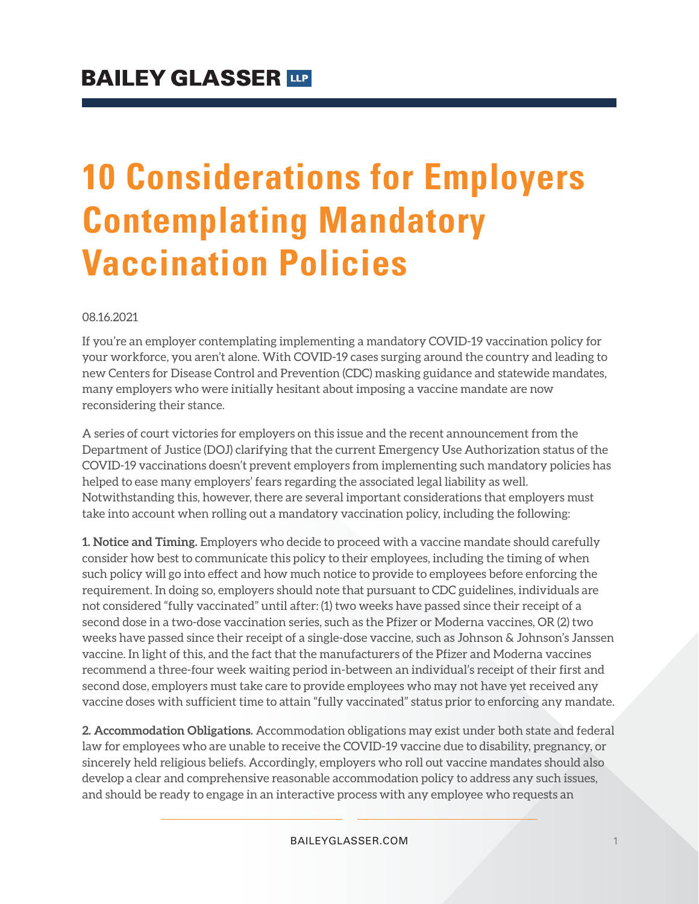# **10 Considerations for Employers Contemplating Mandatory Vaccination Policies**

08.16.2021

If you're an employer contemplating implementing a mandatory COVID-19 vaccination policy for your workforce, you aren't alone. With COVID-19 cases surging around the country and leading to new Centers for Disease Control and Prevention (CDC) masking guidance and statewide mandates, many employers who were initially hesitant about imposing a vaccine mandate are now reconsidering their stance.

A series of court victories for employers on this issue and the recent announcement from the Department of Justice (DOJ) clarifying that the current Emergency Use Authorization status of the COVID-19 vaccinations doesn't prevent employers from implementing such mandatory policies has helped to ease many employers' fears regarding the associated legal liability as well. Notwithstanding this, however, there are several important considerations that employers must take into account when rolling out a mandatory vaccination policy, including the following:

**1. Notice and Timing.** Employers who decide to proceed with a vaccine mandate should carefully consider how best to communicate this policy to their employees, including the timing of when such policy will go into effect and how much notice to provide to employees before enforcing the requirement. In doing so, employers should note that pursuant to CDC guidelines, individuals are not considered "fully vaccinated" until after: (1) two weeks have passed since their receipt of a second dose in a two-dose vaccination series, such as the Pfizer or Moderna vaccines, OR (2) two weeks have passed since their receipt of a single-dose vaccine, such as Johnson & Johnson's Janssen vaccine. In light of this, and the fact that the manufacturers of the Pfizer and Moderna vaccines recommend a three-four week waiting period in-between an individual's receipt of their first and second dose, employers must take care to provide employees who may not have yet received any vaccine doses with sufficient time to attain "fully vaccinated" status prior to enforcing any mandate.

**2. Accommodation Obligations.** Accommodation obligations may exist under both state and federal law for employees who are unable to receive the COVID-19 vaccine due to disability, pregnancy, or sincerely held religious beliefs. Accordingly, employers who roll out vaccine mandates should also develop a clear and comprehensive reasonable accommodation policy to address any such issues, and should be ready to engage in an interactive process with any employee who requests an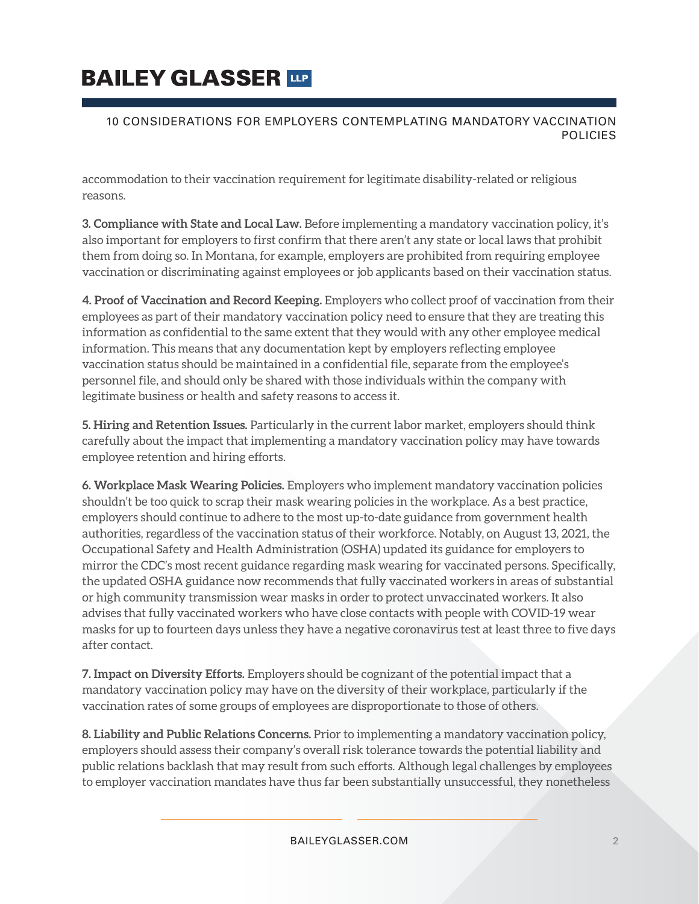# **BAILEY GLASSER TIP**

#### 10 CONSIDERATIONS FOR EMPLOYERS CONTEMPLATING MANDATORY VACCINATION **POLICIES**

accommodation to their vaccination requirement for legitimate disability-related or religious reasons.

**3. Compliance with State and Local Law.** Before implementing a mandatory vaccination policy, it's also important for employers to first confirm that there aren't any state or local laws that prohibit them from doing so. In Montana, for example, employers are prohibited from requiring employee vaccination or discriminating against employees or job applicants based on their vaccination status.

**4. Proof of Vaccination and Record Keeping.** Employers who collect proof of vaccination from their employees as part of their mandatory vaccination policy need to ensure that they are treating this information as confidential to the same extent that they would with any other employee medical information. This means that any documentation kept by employers reflecting employee vaccination status should be maintained in a confidential file, separate from the employee's personnel file, and should only be shared with those individuals within the company with legitimate business or health and safety reasons to access it.

**5. Hiring and Retention Issues.** Particularly in the current labor market, employers should think carefully about the impact that implementing a mandatory vaccination policy may have towards employee retention and hiring efforts.

**6. Workplace Mask Wearing Policies.** Employers who implement mandatory vaccination policies shouldn't be too quick to scrap their mask wearing policies in the workplace. As a best practice, employers should continue to adhere to the most up-to-date guidance from government health authorities, regardless of the vaccination status of their workforce. Notably, on August 13, 2021, the Occupational Safety and Health Administration (OSHA) updated its guidance for employers to mirror the CDC's most recent guidance regarding mask wearing for vaccinated persons. Specifically, the updated OSHA guidance now recommends that fully vaccinated workers in areas of substantial or high community transmission wear masks in order to protect unvaccinated workers. It also advises that fully vaccinated workers who have close contacts with people with COVID-19 wear masks for up to fourteen days unless they have a negative coronavirus test at least three to five days after contact.

**7. Impact on Diversity Efforts.** Employers should be cognizant of the potential impact that a mandatory vaccination policy may have on the diversity of their workplace, particularly if the vaccination rates of some groups of employees are disproportionate to those of others.

**8. Liability and Public Relations Concerns.** Prior to implementing a mandatory vaccination policy, employers should assess their company's overall risk tolerance towards the potential liability and public relations backlash that may result from such efforts. Although legal challenges by employees to employer vaccination mandates have thus far been substantially unsuccessful, they nonetheless